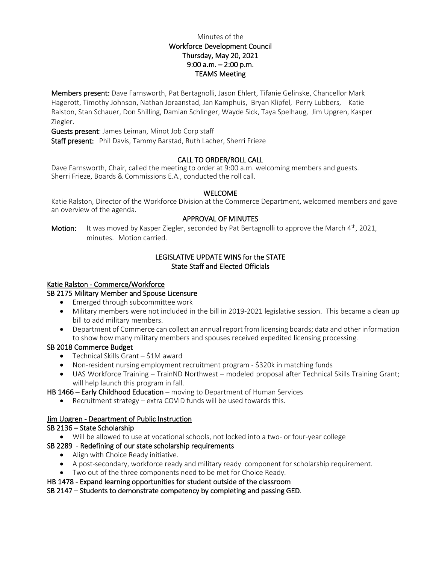# Minutes of the Workforce Development Council Thursday, May 20, 2021 9:00 a.m. – 2:00 p.m. TEAMS Meeting

Members present: Dave Farnsworth, Pat Bertagnolli, Jason Ehlert, Tifanie Gelinske, Chancellor Mark Hagerott, Timothy Johnson, Nathan Joraanstad, Jan Kamphuis, Bryan Klipfel, Perry Lubbers, Katie Ralston, Stan Schauer, Don Shilling, Damian Schlinger, Wayde Sick, Taya Spelhaug, Jim Upgren, Kasper Ziegler.

Guests present: James Leiman, Minot Job Corp staff

Staff present: Phil Davis, Tammy Barstad, Ruth Lacher, Sherri Frieze

## CALL TO ORDER/ROLL CALL

Dave Farnsworth, Chair, called the meeting to order at 9:00 a.m. welcoming members and guests. Sherri Frieze, Boards & Commissions E.A., conducted the roll call.

#### WELCOME

Katie Ralston, Director of the Workforce Division at the Commerce Department, welcomed members and gave an overview of the agenda.

### APPROVAL OF MINUTES

**Motion:** It was moved by Kasper Ziegler, seconded by Pat Bertagnolli to approve the March  $4<sup>th</sup>$ , 2021, minutes. Motion carried.

## LEGISLATIVE UPDATE WINS for the STATE State Staff and Elected Officials

### Katie Ralston - Commerce/Workforce

## SB 2175 Military Member and Spouse Licensure

- Emerged through subcommittee work
- Military members were not included in the bill in 2019-2021 legislative session. This became a clean up bill to add military members.
- Department of Commerce can collect an annual report from licensing boards; data and other information to show how many military members and spouses received expedited licensing processing.

### SB 2018 Commerce Budget

- Technical Skills Grant \$1M award
- Non-resident nursing employment recruitment program \$320k in matching funds
- UAS Workforce Training TrainND Northwest modeled proposal after Technical Skills Training Grant; will help launch this program in fall.

HB 1466 – Early Childhood Education – moving to Department of Human Services

• Recruitment strategy – extra COVID funds will be used towards this.

### Jim Upgren - Department of Public Instruction

### SB 2136 – State Scholarship

• Will be allowed to use at vocational schools, not locked into a two- or four-year college

### SB 2289 - Redefining of our state scholarship requirements

- Align with Choice Ready initiative.
- A post-secondary, workforce ready and military ready component for scholarship requirement.
- Two out of the three components need to be met for Choice Ready.

### HB 1478 - Expand learning opportunities for student outside of the classroom

### SB 2147 – Students to demonstrate competency by completing and passing GED.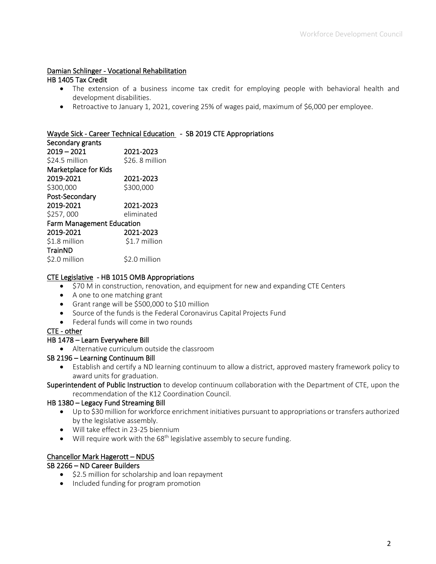## Damian Schlinger - Vocational Rehabilitation

### HB 1405 Tax Credit

- The extension of a business income tax credit for employing people with behavioral health and development disabilities.
- Retroactive to January 1, 2021, covering 25% of wages paid, maximum of \$6,000 per employee.

## Wayde Sick - Career Technical Education - SB 2019 CTE Appropriations

Secondary grants 2019 – 2021 2021-2023 \$24.5 million \$26.8 million Marketplace for Kids 2019-2021 2021-2023 \$300,000 \$300,000 Post-Secondary 2019-2021 2021-2023 \$257, 000 eliminated Farm Management Education 2019-2021 2021-2023 \$1.8 million \$1.7 million TrainND \$2.0 million \$2.0 million

### CTE Legislative - HB 1015 OMB Appropriations

- \$70 M in construction, renovation, and equipment for new and expanding CTE Centers
- A one to one matching grant
- Grant range will be \$500,000 to \$10 million
- Source of the funds is the Federal Coronavirus Capital Projects Fund
- Federal funds will come in two rounds

## CTE - other

#### HB 1478 – Learn Everywhere Bill

• Alternative curriculum outside the classroom

### SB 2196 – Learning Continuum Bill

• Establish and certify a ND learning continuum to allow a district, approved mastery framework policy to award units for graduation.

Superintendent of Public Instruction to develop continuum collaboration with the Department of CTE, upon the recommendation of the K12 Coordination Council.

### HB 1380 – Legacy Fund Streaming Bill

- Up to \$30 million for workforce enrichment initiatives pursuant to appropriations or transfers authorized by the legislative assembly.
- Will take effect in 23-25 biennium
- Will require work with the 68<sup>th</sup> legislative assembly to secure funding.

### Chancellor Mark Hagerott – NDUS

### SB 2266 – ND Career Builders

- \$2.5 million for scholarship and loan repayment
- Included funding for program promotion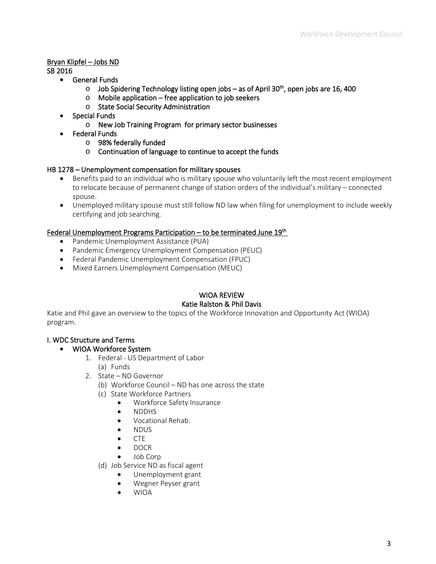# Bryan Klipfel – Jobs ND

SB 2016

- General Funds
	- $\circ$  Job Spidering Technology listing open jobs as of April 30<sup>th</sup>, open jobs are 16, 400
	- o Mobile application free application to job seekers
	- o State Social Security Administration
- Special Funds
	- o New Job Training Program for primary sector businesses
	- Federal Funds
		- o 98% federally funded
		- o Continuation of language to continue to accept the funds

## HB 1278 – Unemployment compensation for military spouses

- Benefits paid to an individual who is military spouse who voluntarily left the most recent employment to relocate because of permanent change of station orders of the individual's military – connected spouse.
- Unemployed military spouse must still follow ND law when filing for unemployment to include weekly certifying and job searching.

## Federal Unemployment Programs Participation – to be terminated June  $19<sup>th</sup>$

- Pandemic Unemployment Assistance (PUA)
- Pandemic Emergency Unemployment Compensation (PEUC)
- Federal Pandemic Unemployment Compensation (FPUC)
- Mixed Earners Unemployment Compensation (MEUC)

# WIOA REVIEW Katie Ralston & Phil Davis

Katie and Phil gave an overview to the topics of the Workforce Innovation and Opportunity Act (WIOA) program.

## I. WDC Structure and Terms

## • WIOA Workforce System

- 1. Federal US Department of Labor
	- (a) Funds
- 2. State ND Governor
	- (b) Workforce Council ND has one across the state
	- (c) State Workforce Partners
		- Workforce Safety Insurance
		- NDDHS
		- Vocational Rehab.
		- NDUS
		- CTE
		- DOCR
		- Job Corp
	- (d) Job Service ND as fiscal agent
		- Unemployment grant
		- Wegner Peyser grant
		- WIOA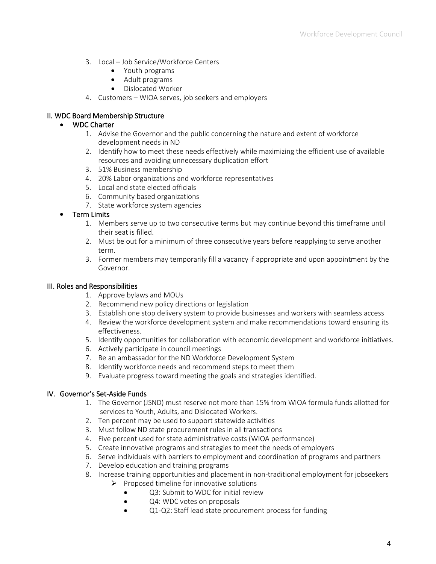- 3. Local Job Service/Workforce Centers
	- Youth programs
	- Adult programs
	- Dislocated Worker
- 4. Customers WIOA serves, job seekers and employers

## II. WDC Board Membership Structure

## • WDC Charter

- 1. Advise the Governor and the public concerning the nature and extent of workforce development needs in ND
- 2. Identify how to meet these needs effectively while maximizing the efficient use of available resources and avoiding unnecessary duplication effort
- 3. 51% Business membership
- 4. 20% Labor organizations and workforce representatives
- 5. Local and state elected officials
- 6. Community based organizations
- 7. State workforce system agencies

# • Term Limits

- 1. Members serve up to two consecutive terms but may continue beyond this timeframe until their seat is filled.
- 2. Must be out for a minimum of three consecutive years before reapplying to serve another term.
- 3. Former members may temporarily fill a vacancy if appropriate and upon appointment by the Governor.

## III. Roles and Responsibilities

- 1. Approve bylaws and MOUs
- 2. Recommend new policy directions or legislation
- 3. Establish one stop delivery system to provide businesses and workers with seamless access
- 4. Review the workforce development system and make recommendations toward ensuring its effectiveness.
- 5. Identify opportunities for collaboration with economic development and workforce initiatives.
- 6. Actively participate in council meetings
- 7. Be an ambassador for the ND Workforce Development System
- 8. Identify workforce needs and recommend steps to meet them
- 9. Evaluate progress toward meeting the goals and strategies identified.

## IV. Governor's Set-Aside Funds

- 1. The Governor (JSND) must reserve not more than 15% from WIOA formula funds allotted for services to Youth, Adults, and Dislocated Workers.
- 2. Ten percent may be used to support statewide activities
- 3. Must follow ND state procurement rules in all transactions
- 4. Five percent used for state administrative costs (WIOA performance)
- 5. Create innovative programs and strategies to meet the needs of employers
- 6. Serve individuals with barriers to employment and coordination of programs and partners
- 7. Develop education and training programs
- 8. Increase training opportunities and placement in non-traditional employment for jobseekers
	- $\triangleright$  Proposed timeline for innovative solutions
		- Q3: Submit to WDC for initial review
		- Q4: WDC votes on proposals
		- Q1-Q2: Staff lead state procurement process for funding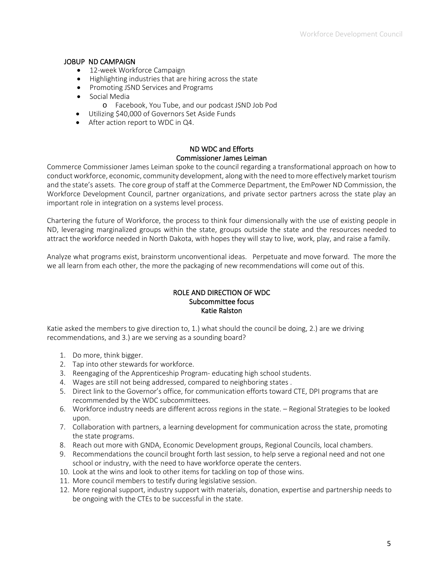### JOBUP ND CAMPAIGN

- 12-week Workforce Campaign
- Highlighting industries that are hiring across the state
- Promoting JSND Services and Programs
- Social Media
	- o Facebook, You Tube, and our podcast JSND Job Pod
- Utilizing \$40,000 of Governors Set Aside Funds
- After action report to WDC in Q4.

## ND WDC and Efforts Commissioner James Leiman

Commerce Commissioner James Leiman spoke to the council regarding a transformational approach on how to conduct workforce, economic, community development, along with the need to more effectively market tourism and the state's assets. The core group of staff at the Commerce Department, the EmPower ND Commission, the Workforce Development Council, partner organizations, and private sector partners across the state play an important role in integration on a systems level process.

Chartering the future of Workforce, the process to think four dimensionally with the use of existing people in ND, leveraging marginalized groups within the state, groups outside the state and the resources needed to attract the workforce needed in North Dakota, with hopes they will stay to live, work, play, and raise a family.

Analyze what programs exist, brainstorm unconventional ideas. Perpetuate and move forward. The more the we all learn from each other, the more the packaging of new recommendations will come out of this.

## ROLE AND DIRECTION OF WDC Subcommittee focus Katie Ralston

Katie asked the members to give direction to, 1.) what should the council be doing, 2.) are we driving recommendations, and 3.) are we serving as a sounding board?

- 1. Do more, think bigger.
- 2. Tap into other stewards for workforce.
- 3. Reengaging of the Apprenticeship Program- educating high school students.
- 4. Wages are still not being addressed, compared to neighboring states .
- 5. Direct link to the Governor's office, for communication efforts toward CTE, DPI programs that are recommended by the WDC subcommittees.
- 6. Workforce industry needs are different across regions in the state. Regional Strategies to be looked upon.
- 7. Collaboration with partners, a learning development for communication across the state, promoting the state programs.
- 8. Reach out more with GNDA, Economic Development groups, Regional Councils, local chambers.
- 9. Recommendations the council brought forth last session, to help serve a regional need and not one school or industry, with the need to have workforce operate the centers.
- 10. Look at the wins and look to other items for tackling on top of those wins.
- 11. More council members to testify during legislative session.
- 12. More regional support, industry support with materials, donation, expertise and partnership needs to be ongoing with the CTEs to be successful in the state.